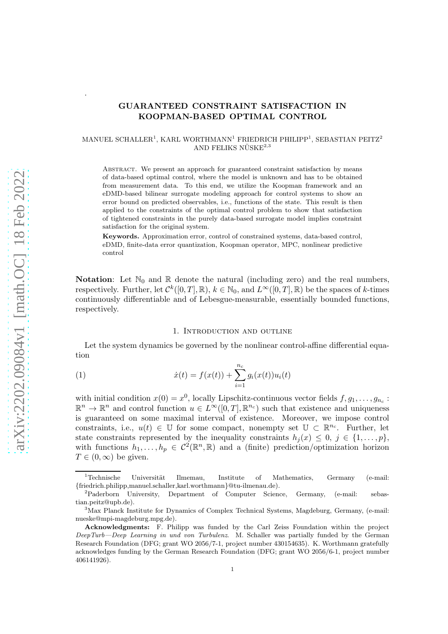# GUARANTEED CONSTRAINT SATISFACTION IN KOOPMAN-BASED OPTIMAL CONTROL

## $\text{MANUEL SCHALLER}^1, \text{KARL WORDHMANN}^1 \text{ FRIEDRICH PHILIPP}^1, \text{SEBASTIAN PETZ}^2$ AND FELIKS NÜSKE $2,3$

ABSTRACT. We present an approach for guaranteed constraint satisfaction by means of data-based optimal control, where the model is unknown and has to be obtained from measurement data. To this end, we utilize the Koopman framework and an eDMD-based bilinear surrogate modeling approach for control systems to show an error bound on predicted observables, i.e., functions of the state. This result is then applied to the constraints of the optimal control problem to show that satisfaction of tightened constraints in the purely data-based surrogate model implies constraint satisfaction for the original system.

Keywords. Approximation error, control of constrained systems, data-based control, eDMD, finite-data error quantization, Koopman operator, MPC, nonlinear predictive control

**Notation:** Let  $\mathbb{N}_0$  and  $\mathbb{R}$  denote the natural (including zero) and the real numbers, respectively. Further, let  $\mathcal{C}^k([0,T], \mathbb{R})$ ,  $k \in \mathbb{N}_0$ , and  $L^{\infty}([0,T], \mathbb{R})$  be the spaces of k-times continuously differentiable and of Lebesgue-measurable, essentially bounded functions, respectively.

#### <span id="page-0-0"></span>1. Introduction and outline

<span id="page-0-1"></span>Let the system dynamics be governed by the nonlinear control-affine differential equation

(1) 
$$
\dot{x}(t) = f(x(t)) + \sum_{i=1}^{n_c} g_i(x(t))u_i(t)
$$

with initial condition  $x(0) = x^0$ , locally Lipschitz-continuous vector fields  $f, g_1, \ldots, g_{n_c}$ :  $\mathbb{R}^n \to \mathbb{R}^n$  and control function  $u \in L^{\infty}([0,T], \mathbb{R}^{n_c})$  such that existence and uniqueness is guaranteed on some maximal interval of existence. Moreover, we impose control constraints, i.e.,  $u(t) \in \mathbb{U}$  for some compact, nonempty set  $\mathbb{U} \subset \mathbb{R}^{n_c}$ . Further, let state constraints represented by the inequality constraints  $h_i(x) \leq 0, j \in \{1, \ldots, p\},\$ with functions  $h_1, \ldots, h_p \in C^2(\mathbb{R}^n, \mathbb{R})$  and a (finite) prediction/optimization horizon  $T \in (0,\infty)$  be given.

.

<sup>&</sup>lt;sup>1</sup>Technische Universität Ilmemau, Institute of Mathematics, Germany (e-mail: {friedrich.philipp,manuel.schaller,karl.worthmann}@tu-ilmenau.de).

<sup>2</sup>Paderborn University, Department of Computer Science, Germany, (e-mail: sebastian.peitz@upb.de).

<sup>3</sup>Max Planck Institute for Dynamics of Complex Technical Systems, Magdeburg, Germany, (e-mail: nueske@mpi-magdeburg.mpg.de).

Acknowledgments: F. Philipp was funded by the Carl Zeiss Foundation within the project DeepTurb—Deep Learning in und von Turbulenz. M. Schaller was partially funded by the German Research Foundation (DFG; grant WO 2056/7-1, project number 430154635). K. Worthmann gratefully acknowledges funding by the German Research Foundation (DFG; grant WO 2056/6-1, project number 406141926).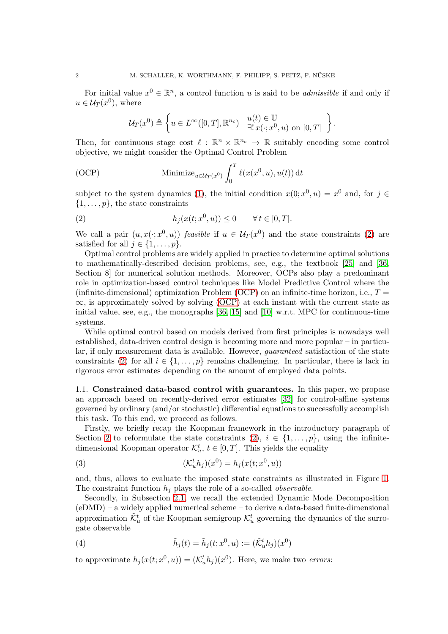For initial value  $x^0 \in \mathbb{R}^n$ , a control function u is said to be *admissible* if and only if  $u \in \mathcal{U}_T(x^0)$ , where

$$
\mathcal{U}_T(x^0) \triangleq \left\{ u \in L^{\infty}([0,T], \mathbb{R}^{n_c}) \middle| \begin{array}{l} u(t) \in \mathbb{U} \\ \exists ! \, x(\cdot; x^0, u) \text{ on } [0,T] \end{array} \right\}.
$$

Then, for continuous stage cost  $\ell : \mathbb{R}^n \times \mathbb{R}^{n_c} \to \mathbb{R}$  suitably encoding some control objective, we might consider the Optimal Control Problem

<span id="page-1-1"></span>(OCP) Minimize<sub>u\in\mathcal{U}\_T(x^0)</sub> 
$$
\int_0^T \ell(x(x^0, u), u(t)) dt
$$

subject to the system dynamics [\(1\)](#page-0-0), the initial condition  $x(0; x^0, u) = x^0$  and, for  $j \in$  $\{1, \ldots, p\}$ , the state constraints

<span id="page-1-0"></span>(2) 
$$
h_j(x(t; x^0, u)) \leq 0 \quad \forall t \in [0, T].
$$

We call a pair  $(u, x(\cdot; x^0, u))$  *feasible* if  $u \in U_T(x^0)$  and the state constraints [\(2\)](#page-1-0) are satisfied for all  $j \in \{1, \ldots, p\}$ .

Optimal control problems are widely applied in practice to determine optimal solutions to mathematically-described decision problems, see, e.g., the textbook [\[25\]](#page-10-0) and [\[36,](#page-10-1) Section 8] for numerical solution methods. Moreover, OCPs also play a predominant role in optimization-based control techniques like Model Predictive Control where the (infinite-dimensional) optimization Problem [\(OCP\)](#page-1-1) on an infinite-time horizon, i.e.,  $T =$  $\infty$ , is approximately solved by solving [\(OCP\)](#page-1-1) at each instant with the current state as initial value, see, e.g., the monographs  $[36, 15]$  $[36, 15]$  and  $[10]$  w.r.t. MPC for continuous-time systems.

While optimal control based on models derived from first principles is nowadays well established, data-driven control design is becoming more and more popular – in particular, if only measurement data is available. However, guaranteed satisfaction of the state constraints [\(2\)](#page-1-0) for all  $i \in \{1, \ldots, p\}$  remains challenging. In particular, there is lack in rigorous error estimates depending on the amount of employed data points.

1.1. Constrained data-based control with guarantees. In this paper, we propose an approach based on recently-derived error estimates [\[32\]](#page-10-2) for control-affine systems governed by ordinary (and/or stochastic) differential equations to successfully accomplish this task. To this end, we proceed as follows.

Firstly, we briefly recap the Koopman framework in the introductory paragraph of Section [2](#page-3-0) to reformulate the state constraints  $(2), i \in \{1, \ldots, p\}$ , using the infinitedimensional Koopman operator  $\mathcal{K}_u^t$ ,  $t \in [0, T]$ . This yields the equality

<span id="page-1-3"></span>(3) 
$$
(\mathcal{K}_u^t h_j)(x^0) = h_j(x(t; x^0, u))
$$

and, thus, allows to evaluate the imposed state constraints as illustrated in Figure [1.](#page-2-0) The constraint function  $h_j$  plays the role of a so-called *observable*.

Secondly, in Subsection [2.1,](#page-3-1) we recall the extended Dynamic Mode Decomposition (eDMD) – a widely applied numerical scheme – to derive a data-based finite-dimensional approximation  $\tilde{\mathcal{K}}_u^t$  of the Koopman semigroup  $\mathcal{K}_u^t$  governing the dynamics of the surrogate observable

<span id="page-1-2"></span>(4) 
$$
\tilde{h}_j(t) = \tilde{h}_j(t; x^0, u) := (\tilde{\mathcal{K}}_u^t h_j)(x^0)
$$

to approximate  $h_j(x(t; x^0, u)) = (\mathcal{K}_u^t h_j)(x^0)$ . Here, we make two *errors*: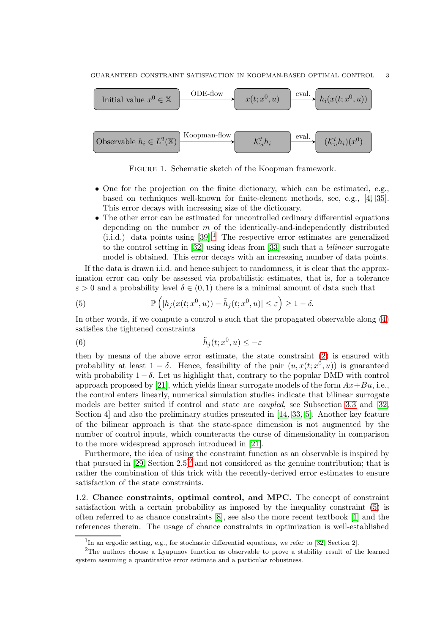

<span id="page-2-0"></span>Figure 1. Schematic sketch of the Koopman framework.

- One for the projection on the finite dictionary, which can be estimated, e.g., based on techniques well-known for finite-element methods, see, e.g., [\[4,](#page-9-2) [35\]](#page-10-3). This error decays with increasing size of the dictionary.
- The other error can be estimated for uncontrolled ordinary differential equations depending on the number  $m$  of the identically-and-independently distributed (i.i.d.) data points using  $[39]$ <sup>[1](#page-2-1)</sup>. The respective error estimates are generalized to the control setting in [\[32\]](#page-10-2) using ideas from [\[33\]](#page-10-5) such that a bilinear surrogate model is obtained. This error decays with an increasing number of data points.

If the data is drawn i.i.d. and hence subject to randomness, it is clear that the approximation error can only be assessed via probabilistic estimates, that is, for a tolerance  $\varepsilon > 0$  and a probability level  $\delta \in (0,1)$  there is a minimal amount of data such that

<span id="page-2-3"></span>(5) 
$$
\mathbb{P}\left(|h_j(x(t; x^0, u)) - \tilde{h}_j(t; x^0, u)| \leq \varepsilon\right) \geq 1 - \delta.
$$

In other words, if we compute a control  $u$  such that the propagated observable along  $(4)$ satisfies the tightened constraints

(6) 
$$
\tilde{h}_j(t; x^0, u) \leq -\varepsilon
$$

then by means of the above error estimate, the state constraint [\(2\)](#page-1-0) is ensured with probability at least  $1 - \delta$ . Hence, feasibility of the pair  $(u, x(t; x^0, u))$  is guaranteed with probability  $1-\delta$ . Let us highlight that, contrary to the popular DMD with control approach proposed by [\[21\]](#page-10-6), which yields linear surrogate models of the form  $Ax+Bu$ , i.e., the control enters linearly, numerical simulation studies indicate that bilinear surrogate models are better suited if control and state are coupled, see Subsection [3.3](#page-8-0) and [\[32,](#page-10-2) Section 4] and also the preliminary studies presented in [\[14,](#page-9-3) [33,](#page-10-5) [5\]](#page-9-4). Another key feature of the bilinear approach is that the state-space dimension is not augmented by the number of control inputs, which counteracts the curse of dimensionality in comparison to the more widespread approach introduced in [\[21\]](#page-10-6).

Furthermore, the idea of using the constraint function as an observable is inspired by that pursued in  $[29, Section 2.5]^2$  $[29, Section 2.5]^2$  $[29, Section 2.5]^2$  and not considered as the genuine contribution; that is rather the combination of this trick with the recently-derived error estimates to ensure satisfaction of the state constraints.

1.2. Chance constraints, optimal control, and MPC. The concept of constraint satisfaction with a certain probability as imposed by the inequality constraint [\(5\)](#page-2-3) is often referred to as chance constraints [\[8\]](#page-9-5), see also the more recent textbook [\[1\]](#page-9-6) and the references therein. The usage of chance constraints in optimization is well-established

<span id="page-2-1"></span><sup>&</sup>lt;sup>1</sup>In an ergodic setting, e.g., for stochastic differential equations, we refer to [\[32,](#page-10-2) Section 2].

<span id="page-2-2"></span><sup>&</sup>lt;sup>2</sup>The authors choose a Lyapunov function as observable to prove a stability result of the learned system assuming a quantitative error estimate and a particular robustness.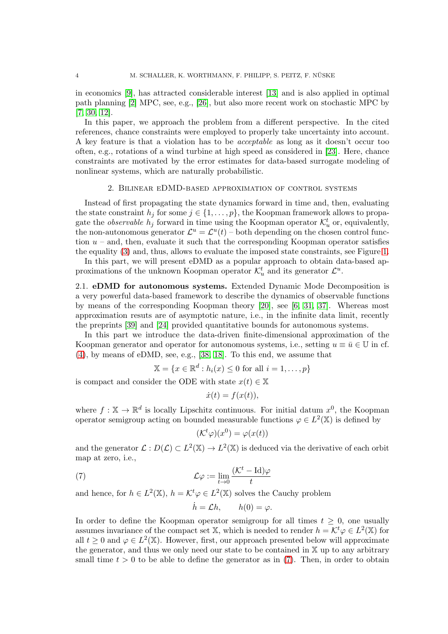in economics [\[9\]](#page-9-7), has attracted considerable interest [\[13\]](#page-9-8) and is also applied in optimal path planning [\[2\]](#page-9-9) MPC, see, e.g., [\[26\]](#page-10-8), but also more recent work on stochastic MPC by [\[7,](#page-9-10) [30,](#page-10-9) [12\]](#page-9-11).

In this paper, we approach the problem from a different perspective. In the cited references, chance constraints were employed to properly take uncertainty into account. A key feature is that a violation has to be acceptable as long as it doesn't occur too often, e.g., rotations of a wind turbine at high speed as considered in [\[23\]](#page-10-10). Here, chance constraints are motivated by the error estimates for data-based surrogate modeling of nonlinear systems, which are naturally probabilistic.

### 2. Bilinear eDMD-based approximation of control systems

<span id="page-3-0"></span>Instead of first propagating the state dynamics forward in time and, then, evaluating the state constraint  $h_j$  for some  $j \in \{1, \ldots, p\}$ , the Koopman framework allows to propagate the *observable*  $h_j$  forward in time using the Koopman operator  $\mathcal{K}_u^t$  or, equivalently, the non-autonomous generator  $\mathcal{L}^u = \mathcal{L}^u(t)$  – both depending on the chosen control function  $u$  – and, then, evaluate it such that the corresponding Koopman operator satisfies the equality [\(3\)](#page-1-3) and, thus, allows to evaluate the imposed state constraints, see Figure [1.](#page-2-0)

In this part, we will present eDMD as a popular approach to obtain data-based approximations of the unknown Koopman operator  $\mathcal{K}_u^t$  and its generator  $\mathcal{L}^u$ .

<span id="page-3-1"></span>2.1. eDMD for autonomous systems. Extended Dynamic Mode Decomposition is a very powerful data-based framework to describe the dynamics of observable functions by means of the corresponding Koopman theory [\[20\]](#page-10-11), see [\[6,](#page-9-12) [31,](#page-10-12) [37\]](#page-10-13). Whereas most approximation resuts are of asymptotic nature, i.e., in the infinite data limit, recently the preprints [\[39\]](#page-10-4) and [\[24\]](#page-10-14) provided quantitative bounds for autonomous systems.

In this part we introduce the data-driven finite-dimensional approximation of the Koopman generator and operator for autonomous systems, i.e., setting  $u \equiv \bar{u} \in \mathbb{U}$  in cf. [\(4\)](#page-1-2), by means of eDMD, see, e.g., [\[38,](#page-10-15) [18\]](#page-10-16). To this end, we assume that

$$
\mathbb{X} = \{x \in \mathbb{R}^d : h_i(x) \le 0 \text{ for all } i = 1, \dots, p\}
$$

is compact and consider the ODE with state  $x(t) \in \mathbb{X}$ 

$$
\dot{x}(t) = f(x(t)),
$$

where  $f: \mathbb{X} \to \mathbb{R}^d$  is locally Lipschitz continuous. For initial datum  $x^0$ , the Koopman operator semigroup acting on bounded measurable functions  $\varphi \in L^2(\mathbb{X})$  is defined by

$$
(\mathcal{K}^t \varphi)(x^0) = \varphi(x(t))
$$

and the generator  $\mathcal{L}: D(\mathcal{L}) \subset L^2(\mathbb{X}) \to L^2(\mathbb{X})$  is deduced via the derivative of each orbit map at zero, i.e.,

<span id="page-3-2"></span>(7) 
$$
\mathcal{L}\varphi := \lim_{t \to 0} \frac{(\mathcal{K}^t - \mathrm{Id})\varphi}{t}
$$

and hence, for  $h \in L^2(\mathbb{X})$ ,  $h = \mathcal{K}^t \varphi \in L^2(\mathbb{X})$  solves the Cauchy problem

$$
\dot{h} = \mathcal{L}h, \qquad h(0) = \varphi.
$$

In order to define the Koopman operator semigroup for all times  $t \geq 0$ , one usually assumes invariance of the compact set X, which is needed to render  $h = \mathcal{K}^t \varphi \in L^2(\mathbb{X})$  for all  $t \geq 0$  and  $\varphi \in L^2(\mathbb{X})$ . However, first, our approach presented below will approximate the generator, and thus we only need our state to be contained in  $X$  up to any arbitrary small time  $t > 0$  to be able to define the generator as in [\(7\)](#page-3-2). Then, in order to obtain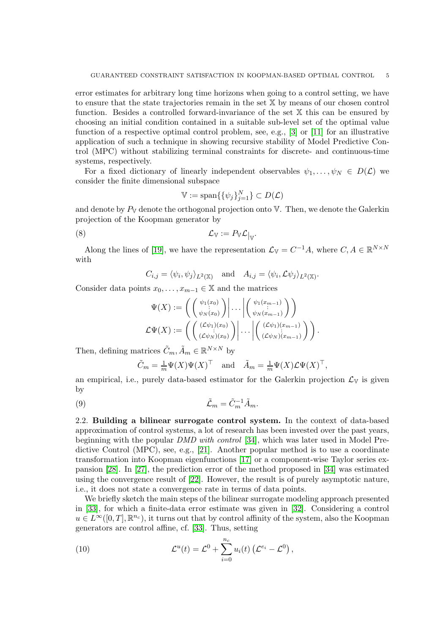error estimates for arbitrary long time horizons when going to a control setting, we have to ensure that the state trajectories remain in the set X by means of our chosen control function. Besides a controlled forward-invariance of the set X this can be ensured by choosing an initial condition contained in a suitable sub-level set of the optimal value function of a respective optimal control problem, see, e.g.,  $[3]$  or  $[11]$  for an illustrative application of such a technique in showing recursive stability of Model Predictive Control (MPC) without stabilizing terminal constraints for discrete- and continuous-time systems, respectively.

For a fixed dictionary of linearly independent observables  $\psi_1, \ldots, \psi_N \in D(\mathcal{L})$  we consider the finite dimensional subspace

$$
\mathbb{V} := \text{span}\{\{\psi_j\}_{j=1}^N\} \subset D(\mathcal{L})
$$

and denote by  $P_V$  denote the orthogonal projection onto  $V$ . Then, we denote the Galerkin projection of the Koopman generator by

<span id="page-4-2"></span>
$$
\mathcal{L}_{V} := P_{V} \mathcal{L}|_{V}.
$$

Along the lines of [\[19\]](#page-10-17), we have the representation  $\mathcal{L}_{V} = C^{-1}A$ , where  $C, A \in \mathbb{R}^{N \times N}$ with

 $C_{i,j} = \langle \psi_i, \psi_j \rangle_{L^2(\mathbb{X})} \quad \text{and} \quad A_{i,j} = \langle \psi_i, \mathcal{L} \psi_j \rangle_{L^2(\mathbb{X})}.$ 

Consider data points  $x_0, \ldots, x_{m-1} \in \mathbb{X}$  and the matrices

$$
\Psi(X) := \left( \left( \begin{array}{c} \psi_1(x_0) \\ \psi_N(x_0) \end{array} \right) \middle| \dots \middle| \left( \begin{array}{c} \psi_1(x_{m-1}) \\ \psi_N(x_{m-1}) \end{array} \right) \right)
$$

$$
\mathcal{L}\Psi(X) := \left( \left( \begin{array}{c} (\mathcal{L}\psi_1)(x_0) \\ (\mathcal{L}\psi_N)(x_0) \end{array} \right) \middle| \dots \middle| \left( \begin{array}{c} (\mathcal{L}\psi_1)(x_{m-1}) \\ (\mathcal{L}\psi_N)(x_{m-1}) \end{array} \right) \right).
$$

Then, defining matrices  $\tilde{C}_m$ ,  $\tilde{A}_m \in \mathbb{R}^{N \times N}$  by

$$
\tilde{C}_m = \frac{1}{m} \Psi(X) \Psi(X)^\top
$$
 and  $\tilde{A}_m = \frac{1}{m} \Psi(X) \mathcal{L} \Psi(X)^\top$ ,

an empirical, i.e., purely data-based estimator for the Galerkin projection  $\mathcal{L}_{V}$  is given by

$$
(9) \t\t\t\t\t\tilde{\mathcal{L}}_m = \tilde{C}_m^{-1} \tilde{A}_m.
$$

<span id="page-4-1"></span>2.2. Building a bilinear surrogate control system. In the context of data-based approximation of control systems, a lot of research has been invested over the past years, beginning with the popular DMD with control [\[34\]](#page-10-18), which was later used in Model Predictive Control (MPC), see, e.g., [\[21\]](#page-10-6). Another popular method is to use a coordinate transformation into Koopman eigenfunctions [\[17\]](#page-9-15) or a component-wise Taylor series expansion [\[28\]](#page-10-19). In [\[27\]](#page-10-20), the prediction error of the method proposed in [\[34\]](#page-10-18) was estimated using the convergence result of [\[22\]](#page-10-21). However, the result is of purely asymptotic nature, i.e., it does not state a convergence rate in terms of data points.

We briefly sketch the main steps of the bilinear surrogate modeling approach presented in [\[33\]](#page-10-5), for which a finite-data error estimate was given in [\[32\]](#page-10-2). Considering a control  $u \in L^{\infty}([0,T], \mathbb{R}^{n_c})$ , it turns out that by control affinity of the system, also the Koopman generators are control affine, cf. [\[33\]](#page-10-5). Thus, setting

<span id="page-4-0"></span>(10) 
$$
\mathcal{L}^u(t) = \mathcal{L}^0 + \sum_{i=0}^{n_c} u_i(t) \left( \mathcal{L}^{e_i} - \mathcal{L}^0 \right),
$$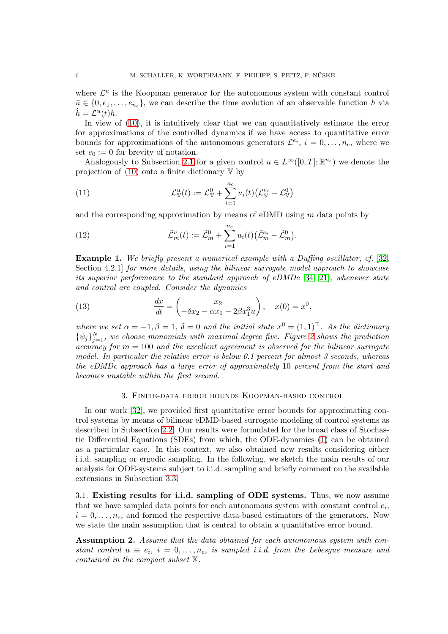where  $\mathcal{L}^{\bar{u}}$  is the Koopman generator for the autonomous system with constant control  $\bar{u} \in \{0, e_1, \ldots, e_{n_c}\},$  we can describe the time evolution of an observable function h via  $\dot{h} = \mathcal{L}^u(t)h.$ 

In view of  $(10)$ , it is intuitively clear that we can quantitatively estimate the error for approximations of the controlled dynamics if we have access to quantitative error bounds for approximations of the autonomous generators  $\mathcal{L}^{e_i}$ ,  $i = 0, \ldots, n_c$ , where we set  $e_0 := 0$  for brevity of notation.

Analogously to Subsection [2.1](#page-3-1) for a given control  $u \in L^{\infty}([0,T]; \mathbb{R}^{n_c})$  we denote the projection of  $(10)$  onto a finite dictionary  $\nabla$  by

(11) 
$$
\mathcal{L}_{\mathbb{V}}^u(t) := \mathcal{L}_{\mathbb{V}}^0 + \sum_{i=1}^{n_c} u_i(t) \big( \mathcal{L}_{\mathbb{V}}^{e_i} - \mathcal{L}_{\mathbb{V}}^0 \big)
$$

and the corresponding approximation by means of eDMD using  $m$  data points by

(12) 
$$
\tilde{\mathcal{L}}_m^u(t) := \tilde{\mathcal{L}}_m^0 + \sum_{i=1}^{n_c} u_i(t) \big( \tilde{\mathcal{L}}_m^{e_i} - \tilde{\mathcal{L}}_m^0 \big).
$$

Example 1. We briefly present a numerical example with a Duffing oscillator, cf. [\[32,](#page-10-2) Section 4.2.1] for more details, using the bilinear surrogate model approach to showcase its superior performance to the standard approach of eDMDc [\[34,](#page-10-18) [21\]](#page-10-6), whenever state and control are coupled. Consider the dynamics

<span id="page-5-0"></span>(13) 
$$
\frac{dx}{dt} = \begin{pmatrix} x_2 \\ -\delta x_2 - \alpha x_1 - 2\beta x_1^3 u \end{pmatrix}, \quad x(0) = x^0,
$$

where we set  $\alpha = -1, \beta = 1, \delta = 0$  and the initial state  $x^0 = (1, 1)^\top$ . As the dictionary  $\{\psi_j\}_{j=1}^N$ , we choose monomials with maximal degree five. Figure [2](#page-6-0) shows the prediction  $accuracy for m = 100 and the excellent agreement is observed for the bilinear surrogate$ model. In particular the relative error is below  $0.1$  percent for almost 3 seconds, whereas the eDMDc approach has a large error of approximately 10 percent from the start and becomes unstable within the first second.

## 3. Finite-data error bounds Koopman-based control

In our work [\[32\]](#page-10-2), we provided first quantitative error bounds for approximating control systems by means of bilinear eDMD-based surrogate modeling of control systems as described in Subsection [2.2.](#page-4-1) Our results were formulated for the broad class of Stochastic Differential Equations (SDEs) from which, the ODE-dynamics [\(1\)](#page-0-0) can be obtained as a particular case. In this context, we also obtained new results considering either i.i.d. sampling or ergodic sampling. In the following, we sketch the main results of our analysis for ODE-systems subject to i.i.d. sampling and briefly comment on the available extensions in Subsection [3.3.](#page-8-0)

3.1. Existing results for i.i.d. sampling of ODE systems. Thus, we now assume that we have sampled data points for each autonomous system with constant control  $e_i$ ,  $i = 0, \ldots, n_c$ , and formed the respective data-based estimators of the generators. Now we state the main assumption that is central to obtain a quantitative error bound.

<span id="page-5-1"></span>Assumption 2. Assume that the data obtained for each autonomous system with constant control  $u \equiv e_i$ ,  $i = 0, \ldots, n_c$ , is sampled i.i.d. from the Lebesgue measure and contained in the compact subset X.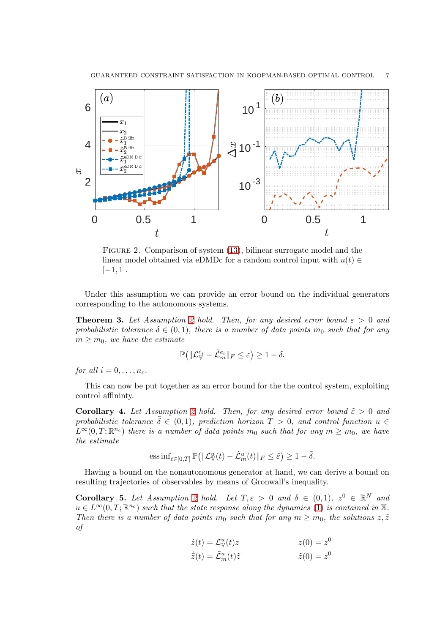

<span id="page-6-0"></span>Figure 2. Comparison of system [\(13\)](#page-5-0), bilinear surrogate model and the linear model obtained via eDMDc for a random control input with  $u(t) \in$  $[-1, 1].$ 

Under this assumption we can provide an error bound on the individual generators corresponding to the autonomous systems.

<span id="page-6-2"></span>**Theorem 3.** Let Assumption [2](#page-5-1) hold. Then, for any desired error bound  $\varepsilon > 0$  and probabilistic tolerance  $\delta \in (0,1)$ , there is a number of data points  $m_0$  such that for any  $m \geq m_0$ , we have the estimate

$$
\mathbb{P}\big(\|\mathcal{L}_{\mathbb{V}}^{e_i}-\tilde{\mathcal{L}}_m^{e_i}\|_F\leq \varepsilon\big)\geq 1-\delta.
$$

for all  $i = 0, \ldots, n_c$ .

This can now be put together as an error bound for the the control system, exploiting control affininty.

<span id="page-6-3"></span>**Corollary 4.** Let Assumption [2](#page-5-1) hold. Then, for any desired error bound  $\tilde{\varepsilon} > 0$  and probabilistic tolerance  $\delta \in (0,1)$ , prediction horizon  $T > 0$ , and control function  $u \in$  $\tilde{L}^{\infty}(0,T;\mathbb{R}^{n_c})$  there is a number of data points  $m_0$  such that for any  $m \geq m_0$ , we have the estimate

$$
\mathrm{ess\,inf}_{t\in[0,T]}\,\mathbb{P}\big(\|\mathcal{L}_{\mathbb{V}}^u(t)-\tilde{\mathcal{L}}_m^u(t)\|_F\leq\tilde{\varepsilon}\big)\geq 1-\tilde{\delta}.
$$

Having a bound on the nonautonomous generator at hand, we can derive a bound on resulting trajectories of observables by means of Gronwall's inequality.

<span id="page-6-1"></span>Corollary 5. Let Assumption [2](#page-5-1) hold. Let  $T, \varepsilon > 0$  and  $\delta \in (0,1)$ ,  $z^0 \in \mathbb{R}^N$  and  $u \in L^{\infty}(0,T;\mathbb{R}^{n_c})$  such that the state response along the dynamics [\(1\)](#page-0-0) is contained in X. Then there is a number of data points  $m_0$  such that for any  $m \geq m_0$ , the solutions  $z, \tilde{z}$ of

$$
\begin{aligned}\n\dot{z}(t) &= \mathcal{L}_{\mathbb{V}}^u(t)z \\
\dot{z}(t) &= \tilde{C}^u(t)\tilde{z}\n\end{aligned}
$$
\n
$$
\begin{aligned}\nz(0) &= z^0 \\
\tilde{z}(0) &= z^0\n\end{aligned}
$$

$$
\dot{\tilde{z}}(t) = \tilde{\mathcal{L}}_m^u(t)\tilde{z} \qquad \qquad \tilde{z}(0) = z
$$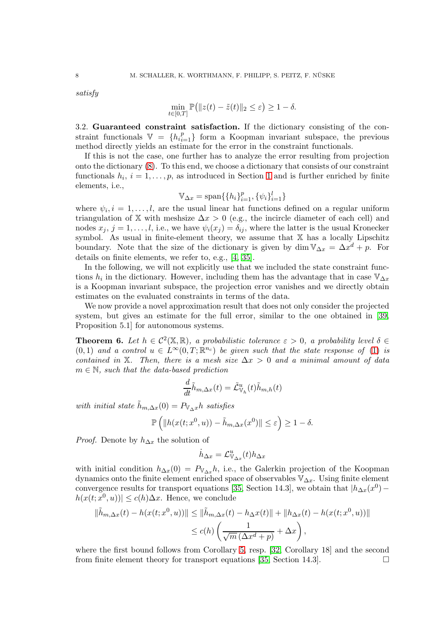satisfy

$$
\min_{t \in [0,T]} \mathbb{P} \big( \| z(t) - \tilde{z}(t) \|_2 \le \varepsilon \big) \ge 1 - \delta.
$$

3.2. Guaranteed constraint satisfaction. If the dictionary consisting of the constraint functionals  $V = \{h_{i=1}^p\}$  form a Koopman invariant subspace, the previous method directly yields an estimate for the error in the constraint functionals.

If this is not the case, one further has to analyze the error resulting from projection onto the dictionary [\(8\)](#page-4-2). To this end, we choose a dictionary that consists of our constraint functionals  $h_i$ ,  $i = 1, \ldots, p$  $i = 1, \ldots, p$  $i = 1, \ldots, p$ , as introduced in Section 1 and is further enriched by finite elements, i.e.,

$$
\mathbb{V}_{\Delta x} = \text{span}\{\{h_i\}_{i=1}^p, \{\psi_i\}_{i=1}^l\}
$$

where  $\psi_i, i = 1, \ldots, l$ , are the usual linear hat functions defined on a regular uniform triangulation of X with meshsize  $\Delta x > 0$  (e.g., the incircle diameter of each cell) and nodes  $x_j$ ,  $j = 1, \ldots, l$ , i.e., we have  $\psi_i(x_j) = \delta_{ij}$ , where the latter is the usual Kronecker symbol. As usual in finite-element theory, we assume that X has a locally Lipschitz boundary. Note that the size of the dictionary is given by dim  $\mathbb{V}_{\Delta x} = \Delta x^d + p$ . For details on finite elements, we refer to, e.g., [\[4,](#page-9-2) [35\]](#page-10-3).

In the following, we will not explicitly use that we included the state constraint functions  $h_i$  in the dictionary. However, including them has the advantage that in case  $\mathbb{V}_{\Delta x}$ is a Koopman invariant subspace, the projection error vanishes and we directly obtain estimates on the evaluated constraints in terms of the data.

We now provide a novel approximation result that does not only consider the projected system, but gives an estimate for the full error, similar to the one obtained in [\[39,](#page-10-4) Proposition 5.1] for autonomous systems.

<span id="page-7-0"></span>**Theorem 6.** Let  $h \in C^2(\mathbb{X}, \mathbb{R})$ , a probabilistic tolerance  $\varepsilon > 0$ , a probability level  $\delta \in$  $(0,1)$  and a control  $u \in L^{\infty}(0,T;\mathbb{R}^{n_c})$  be given such that the state response of [\(1\)](#page-0-0) is contained in X. Then, there is a mesh size  $\Delta x > 0$  and a minimal amount of data  $m \in \mathbb{N}$ , such that the data-based prediction

$$
\frac{d}{dt}\tilde{h}_{m,\Delta x}(t) = \tilde{\mathcal{L}}^u_{\mathbb{V}_h}(t)\tilde{h}_{m,h}(t)
$$

with initial state  $\tilde{h}_{m,\Delta x}(0) = P_{\mathbb{V}_{\Delta} x}h$  satisfies

$$
\mathbb{P}\left(\|h(x(t;x^0,u))-\tilde{h}_{m,\Delta x}(x^0)\| \leq \varepsilon\right) \geq 1-\delta.
$$

*Proof.* Denote by  $h_{\Delta x}$  the solution of

$$
\dot{h}_{\Delta x} = \mathcal{L}_{\mathbb{V}_{\Delta x}}^u(t) h_{\Delta x}
$$

with initial condition  $h_{\Delta x}(0) = P_{\mathbb{V}_{\Delta x}}h$ , i.e., the Galerkin projection of the Koopman dynamics onto the finite element enriched space of observables  $\mathbb{V}_{\Delta x}$ . Using finite element convergence results for transport equations [\[35,](#page-10-3) Section 14.3], we obtain that  $|h_{\Delta x}(x^0)$  $h(x(t; x^0, u)) \leq c(h)\Delta x$ . Hence, we conclude

$$
\|\tilde{h}_{m,\Delta x}(t) - h(x(t; x^0, u))\| \le \|\tilde{h}_{m,\Delta x}(t) - h_{\Delta}x(t)\| + \|h_{\Delta x}(t) - h(x(t; x^0, u))\|
$$
  

$$
\le c(h) \left(\frac{1}{\sqrt{m}(\Delta x^d + p)} + \Delta x\right),
$$

where the first bound follows from Corollary [5,](#page-6-1) resp. [\[32,](#page-10-2) Corollary 18] and the second from finite element theory for transport equations [\[35,](#page-10-3) Section 14.3].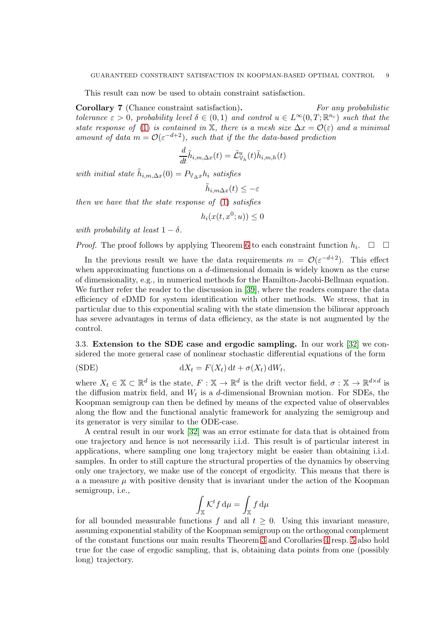This result can now be used to obtain constraint satisfaction.

Corollary 7 (Chance constraint satisfaction). For any probabilistic tolerance  $\varepsilon > 0$ , probability level  $\delta \in (0,1)$  and control  $u \in L^{\infty}(0,T;\mathbb{R}^{n_c})$  such that the state response of [\(1\)](#page-0-0) is contained in X, there is a mesh size  $\Delta x = \mathcal{O}(\varepsilon)$  and a minimal amount of data  $m = \mathcal{O}(\varepsilon^{-d+2})$ , such that if the the data-based prediction

$$
\frac{d}{dt}\tilde{h}_{i,m,\Delta x}(t) = \tilde{\mathcal{L}}^u_{\mathbb{V}_h}(t)\tilde{h}_{i,m,h}(t)
$$

with initial state  $\tilde{h}_{i,m,\Delta x}(0) = P_{\mathbb{V}_{\Delta} x} h_i$  satisfies

$$
\tilde{h}_{i,m\Delta x}(t) \leq -\varepsilon
$$

then we have that the state response of [\(1\)](#page-0-0) satisfies

$$
h_i(x(t, x^0; u)) \le 0
$$

with probability at least  $1 - \delta$ .

*Proof.* The proof follows by applying Theorem [6](#page-7-0) to each constraint function  $h_i$ .  $\Box$   $\Box$ 

In the previous result we have the data requirements  $m = \mathcal{O}(\varepsilon^{-d+2})$ . This effect when approximating functions on a d-dimensional domain is widely known as the curse of dimensionality, e.g., in numerical methods for the Hamilton-Jacobi-Bellman equation. We further refer the reader to the discussion in [\[39\]](#page-10-4), where the readers compare the data efficiency of eDMD for system identification with other methods. We stress, that in particular due to this exponential scaling with the state dimension the bilinear approach has severe advantages in terms of data efficiency, as the state is not augmented by the control.

<span id="page-8-0"></span>3.3. Extension to the SDE case and ergodic sampling. In our work [\[32\]](#page-10-2) we considered the more general case of nonlinear stochastic differential equations of the form

(SDE) 
$$
dX_t = F(X_t) dt + \sigma(X_t) dW_t,
$$

where  $X_t \in \mathbb{X} \subset \mathbb{R}^d$  is the state,  $F : \mathbb{X} \to \mathbb{R}^d$  is the drift vector field,  $\sigma : \mathbb{X} \to \mathbb{R}^{d \times d}$  is the diffusion matrix field, and  $W_t$  is a d-dimensional Brownian motion. For SDEs, the Koopman semigroup can then be defined by means of the expected value of observables along the flow and the functional analytic framework for analyzing the semigroup and its generator is very similar to the ODE-case.

A central result in our work [\[32\]](#page-10-2) was an error estimate for data that is obtained from one trajectory and hence is not necessarily i.i.d. This result is of particular interest in applications, where sampling one long trajectory might be easier than obtaining i.i.d. samples. In order to still capture the structural properties of the dynamics by observing only one trajectory, we make use of the concept of ergodicity. This means that there is a a measure  $\mu$  with positive density that is invariant under the action of the Koopman semigroup, i.e.,

$$
\int_{\mathbb{X}} \mathcal{K}^t f \, \mathrm{d}\mu = \int_{\mathbb{X}} f \, \mathrm{d}\mu
$$

for all bounded measurable functions f and all  $t \geq 0$ . Using this invariant measure, assuming exponential stability of the Koopman semigroup on the orthogonal complement of the constant functions our main results Theorem [3](#page-6-2) and Corollaries [4](#page-6-3) resp. [5](#page-6-1) also hold true for the case of ergodic sampling, that is, obtaining data points from one (possibly long) trajectory.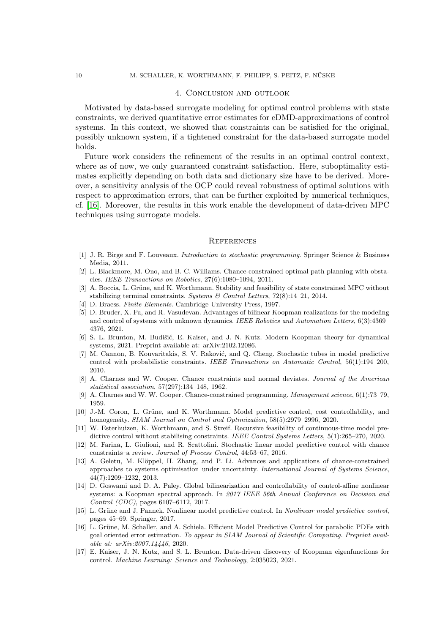### 4. Conclusion and outlook

Motivated by data-based surrogate modeling for optimal control problems with state constraints, we derived quantitative error estimates for eDMD-approximations of control systems. In this context, we showed that constraints can be satisfied for the original, possibly unknown system, if a tightened constraint for the data-based surrogate model holds.

Future work considers the refinement of the results in an optimal control context, where as of now, we only guaranteed constraint satisfaction. Here, suboptimality estimates explicitly depending on both data and dictionary size have to be derived. Moreover, a sensitivity analysis of the OCP could reveal robustness of optimal solutions with respect to approximation errors, that can be further exploited by numerical techniques, cf. [\[16\]](#page-9-16). Moreover, the results in this work enable the development of data-driven MPC techniques using surrogate models.

#### **REFERENCES**

- <span id="page-9-6"></span>[1] J. R. Birge and F. Louveaux. Introduction to stochastic programming. Springer Science & Business Media, 2011.
- <span id="page-9-9"></span>[2] L. Blackmore, M. Ono, and B. C. Williams. Chance-constrained optimal path planning with obstacles. IEEE Transactions on Robotics, 27(6):1080–1094, 2011.
- <span id="page-9-13"></span>[3] A. Boccia, L. Grüne, and K. Worthmann. Stability and feasibility of state constrained MPC without stabilizing terminal constraints. Systems  $\mathcal C$  Control Letters, 72(8):14–21, 2014.
- <span id="page-9-4"></span><span id="page-9-2"></span>[4] D. Braess. Finite Elements. Cambridge University Press, 1997.
- [5] D. Bruder, X. Fu, and R. Vasudevan. Advantages of bilinear Koopman realizations for the modeling and control of systems with unknown dynamics. IEEE Robotics and Automation Letters, 6(3):4369-4376, 2021.
- <span id="page-9-12"></span>[6] S. L. Brunton, M. Budišić, E. Kaiser, and J. N. Kutz. Modern Koopman theory for dynamical systems, 2021. Preprint available at: arXiv:2102.12086.
- <span id="page-9-10"></span>[7] M. Cannon, B. Kouvaritakis, S. V. Raković, and Q. Cheng. Stochastic tubes in model predictive control with probabilistic constraints. IEEE Transactions on Automatic Control, 56(1):194–200, 2010.
- <span id="page-9-5"></span>[8] A. Charnes and W. Cooper. Chance constraints and normal deviates. Journal of the American statistical association, 57(297):134–148, 1962.
- <span id="page-9-7"></span><span id="page-9-1"></span>[9] A. Charnes and W. W. Cooper. Chance-constrained programming. Management science, 6(1):73–79, 1959.
- [10] J.-M. Coron, L. Grüne, and K. Worthmann. Model predictive control, cost controllability, and homogeneity. SIAM Journal on Control and Optimization, 58(5):2979–2996, 2020.
- <span id="page-9-14"></span>[11] W. Esterhuizen, K. Worthmann, and S. Streif. Recursive feasibility of continuous-time model predictive control without stabilising constraints. IEEE Control Systems Letters, 5(1):265–270, 2020.
- <span id="page-9-11"></span>[12] M. Farina, L. Giulioni, and R. Scattolini. Stochastic linear model predictive control with chance constraints–a review. Journal of Process Control, 44:53–67, 2016.
- <span id="page-9-8"></span>[13] A. Geletu, M. Klöppel, H. Zhang, and P. Li. Advances and applications of chance-constrained approaches to systems optimisation under uncertainty. International Journal of Systems Science, 44(7):1209–1232, 2013.
- <span id="page-9-3"></span>[14] D. Goswami and D. A. Paley. Global bilinearization and controllability of control-affine nonlinear systems: a Koopman spectral approach. In 2017 IEEE 56th Annual Conference on Decision and Control (CDC), pages 6107–6112, 2017.
- <span id="page-9-0"></span>[15] L. Grüne and J. Pannek. Nonlinear model predictive control. In Nonlinear model predictive control, pages 45–69. Springer, 2017.
- <span id="page-9-16"></span>[16] L. Grüne, M. Schaller, and A. Schiela. Efficient Model Predictive Control for parabolic PDEs with goal oriented error estimation. To appear in SIAM Journal of Scientific Computing. Preprint available at: arXiv:2007.14446, 2020.
- <span id="page-9-15"></span>[17] E. Kaiser, J. N. Kutz, and S. L. Brunton. Data-driven discovery of Koopman eigenfunctions for control. Machine Learning: Science and Technology, 2:035023, 2021.